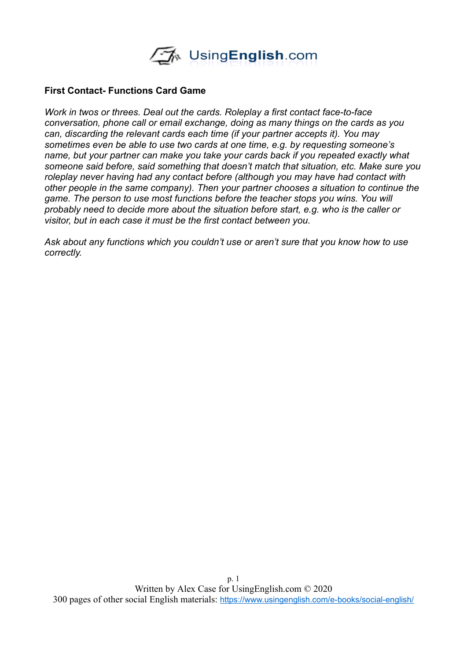

#### **First Contact- Functions Card Game**

*Work in twos or threes. Deal out the cards. Roleplay a first contact face-to-face conversation, phone call or email exchange, doing as many things on the cards as you can, discarding the relevant cards each time (if your partner accepts it). You may sometimes even be able to use two cards at one time, e.g. by requesting someone's name, but your partner can make you take your cards back if you repeated exactly what someone said before, said something that doesn't match that situation, etc. Make sure you roleplay never having had any contact before (although you may have had contact with other people in the same company). Then your partner chooses a situation to continue the*  game. The person to use most functions before the teacher stops you wins. You will *probably need to decide more about the situation before start, e.g. who is the caller or visitor, but in each case it must be the first contact between you.* 

*Ask about any functions which you couldn't use or aren't sure that you know how to use correctly.*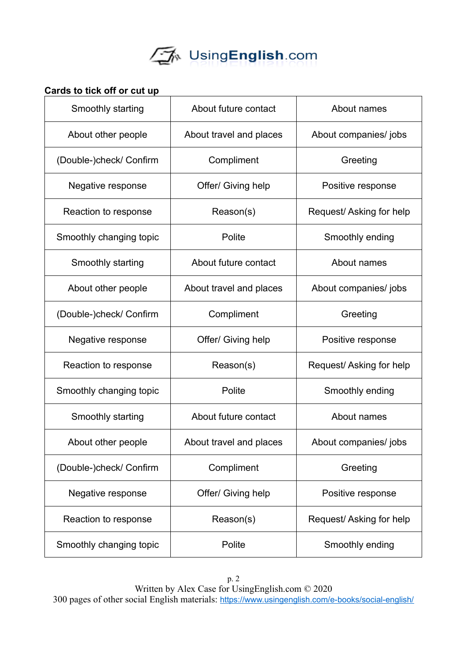

## **Cards to tick off or cut up**

| Smoothly starting       | About future contact    | About names             |
|-------------------------|-------------------------|-------------------------|
| About other people      | About travel and places | About companies/ jobs   |
| (Double-)check/ Confirm | Compliment              | Greeting                |
| Negative response       | Offer/ Giving help      | Positive response       |
| Reaction to response    | Reason(s)               | Request/Asking for help |
| Smoothly changing topic | Polite                  | Smoothly ending         |
| Smoothly starting       | About future contact    | About names             |
| About other people      | About travel and places | About companies/jobs    |
| (Double-)check/ Confirm | Compliment              | Greeting                |
| Negative response       | Offer/ Giving help      | Positive response       |
| Reaction to response    | Reason(s)               | Request/Asking for help |
| Smoothly changing topic | Polite                  | Smoothly ending         |
| Smoothly starting       | About future contact    | About names             |
| About other people      | About travel and places | About companies/jobs    |
| (Double-)check/ Confirm | Compliment              | Greeting                |
| Negative response       | Offer/ Giving help      | Positive response       |
| Reaction to response    | Reason(s)               | Request/Asking for help |
| Smoothly changing topic | Polite                  | Smoothly ending         |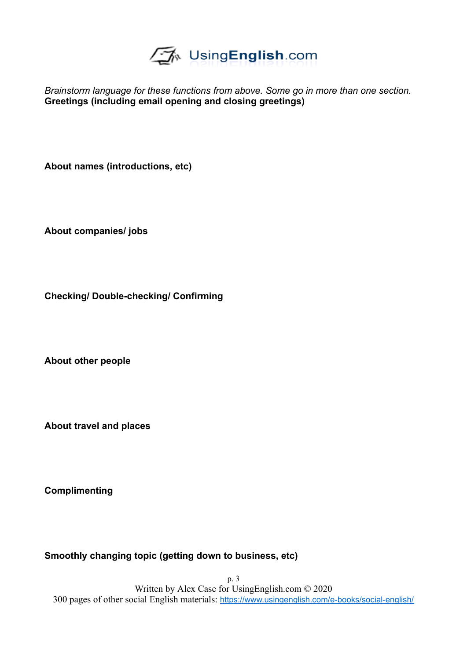

*Brainstorm language for these functions from above. Some go in more than one section.*  **Greetings (including email opening and closing greetings)**

**About names (introductions, etc)**

**About companies/ jobs**

**Checking/ Double-checking/ Confirming**

**About other people**

**About travel and places**

**Complimenting**

**Smoothly changing topic (getting down to business, etc)**

p. 3 Written by Alex Case for UsingEnglish.com © 2020 300 pages of other social English materials: <https://www.usingenglish.com/e-books/social-english/>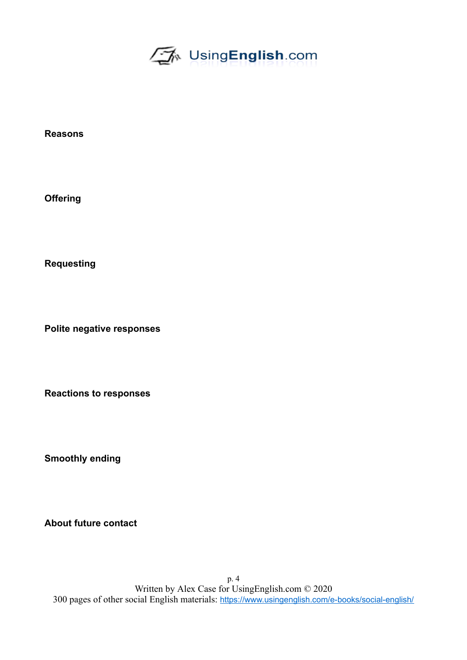

**Reasons**

**Offering**

**Requesting**

**Polite negative responses**

**Reactions to responses**

**Smoothly ending**

**About future contact**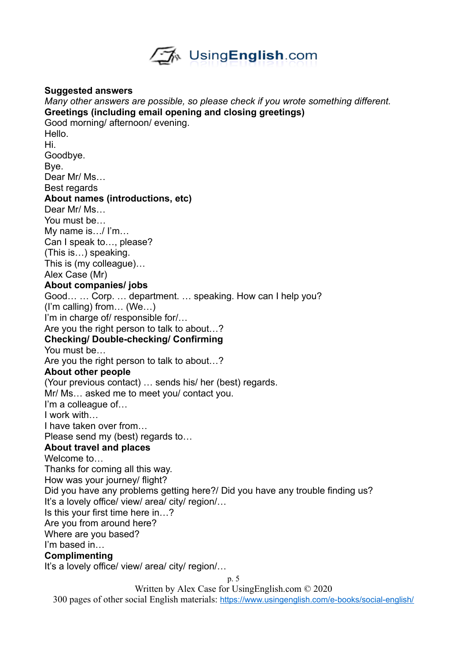

#### **Suggested answers**

*Many other answers are possible, so please check if you wrote something different.*  **Greetings (including email opening and closing greetings)** Good morning/ afternoon/ evening. Hello. Hi. Goodbye. Bye. Dear Mr/ Ms… Best regards **About names (introductions, etc)** Dear Mr/ Ms... You must be… My name is…/ I'm… Can I speak to…, please? (This is…) speaking. This is (my colleague)… Alex Case (Mr) **About companies/ jobs** Good… … Corp. … department. … speaking. How can I help you? (I'm calling) from… (We…) I'm in charge of/ responsible for/… Are you the right person to talk to about…? **Checking/ Double-checking/ Confirming** You must be… Are you the right person to talk to about…? **About other people** (Your previous contact) … sends his/ her (best) regards. Mr/ Ms… asked me to meet you/ contact you. I'm a colleague of… I work with… I have taken over from… Please send my (best) regards to… **About travel and places** Welcome to Thanks for coming all this way. How was your journey/ flight? Did you have any problems getting here?/ Did you have any trouble finding us? It's a lovely office/ view/ area/ city/ region/... Is this your first time here in…? Are you from around here? Where are you based? I'm based in… **Complimenting** It's a lovely office/ view/ area/ city/ region/...

p. 5

Written by Alex Case for UsingEnglish.com © 2020

300 pages of other social English materials: <https://www.usingenglish.com/e-books/social-english/>